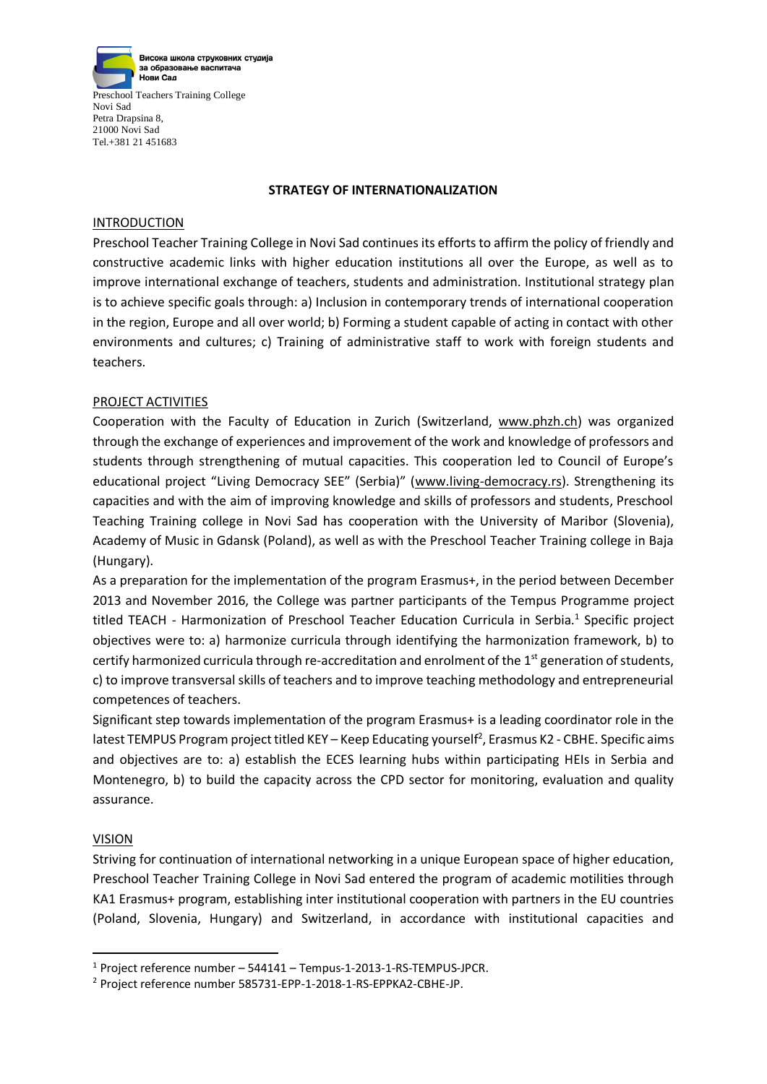

## **STRATEGY OF INTERNATIONALIZATION**

## **INTRODUCTION**

Preschool Teacher Training College in Novi Sad continues its efforts to affirm the policy of friendly and constructive academic links with higher education institutions all over the Europe, as well as to improve international exchange of teachers, students and administration. Institutional strategy plan is to achieve specific goals through: a) Inclusion in contemporary trends of international cooperation in the region, Europe and all over world; b) Forming a student capable of acting in contact with other environments and cultures; c) Training of administrative staff to work with foreign students and teachers.

## PROJECT ACTIVITIES

Cooperation with the Faculty of Education in Zurich (Switzerland, [www.phzh.ch\)](http://www.phzh.ch/) was organized through the exchange of experiences and improvement of the work and knowledge of professors and students through strengthening of mutual capacities. This cooperation led to Council of Europe's educational project "Living Democracy SEE" (Serbia)" ([www.living-democracy.rs\)](http://www.living-democracy.rs/). Strengthening its capacities and with the aim of improving knowledge and skills of professors and students, Preschool Teaching Training college in Novi Sad has cooperation with the University of Maribor (Slovenia), Academy of Music in Gdansk (Poland), as well as with the Preschool Teacher Training college in Baja (Hungary).

As a preparation for the implementation of the program Erasmus+, in the period between December 2013 and November 2016, the College was partner participants of the Tempus Programme project titled TEACH - Harmonization of Preschool Teacher Education Curricula in Serbia.<sup>1</sup> Specific project objectives were to: a) harmonize curricula through identifying the harmonization framework, b) to certify harmonized curricula through re-accreditation and enrolment of the  $1<sup>st</sup>$  generation of students, c) to improve transversal skills of teachers and to improve teaching methodology and entrepreneurial competences of teachers.

Significant step towards implementation of the program Erasmus+ is a leading coordinator role in the latest TEMPUS Program project titled KEY - Keep Educating yourself<sup>2</sup>, Erasmus K2 - CBHE. Specific aims and objectives are to: a) establish the ECES learning hubs within participating HEIs in Serbia and Montenegro, b) to build the capacity across the CPD sector for monitoring, evaluation and quality assurance.

## VISION

**.** 

Striving for continuation of international networking in a unique European space of higher education, Preschool Teacher Training College in Novi Sad entered the program of academic motilities through KA1 Erasmus+ program, establishing inter institutional cooperation with partners in the EU countries (Poland, Slovenia, Hungary) and Switzerland, in accordance with institutional capacities and

 $1$  Project reference number – 544141 – Tempus-1-2013-1-RS-TEMPUS-JPCR.

<sup>2</sup> Project reference number 585731-EPP-1-2018-1-RS-EPPKA2-CBHE-JP.